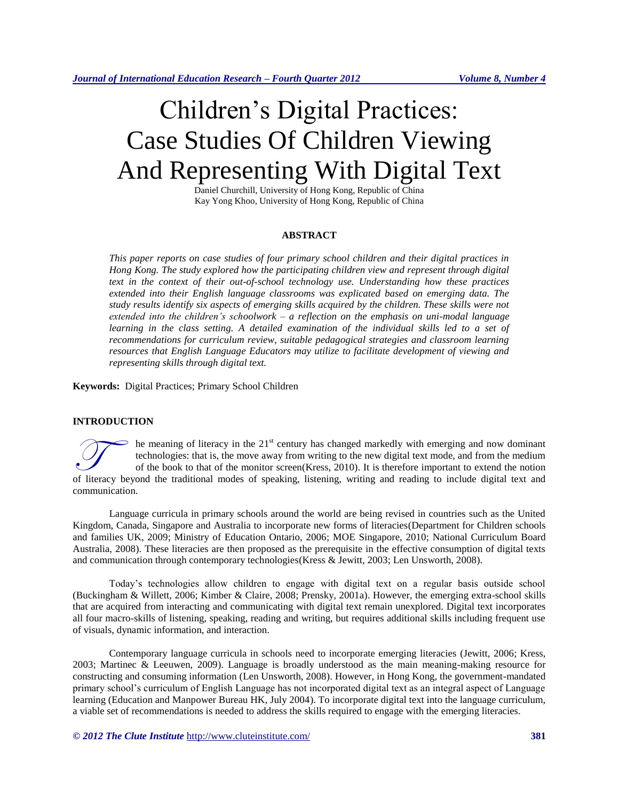# Children's Digital Practices: Case Studies Of Children Viewing And Representing With Digital Text

Daniel Churchill, University of Hong Kong, Republic of China Kay Yong Khoo, University of Hong Kong, Republic of China

#### **ABSTRACT**

*This paper reports on case studies of four primary school children and their digital practices in Hong Kong. The study explored how the participating children view and represent through digital text in the context of their out-of-school technology use. Understanding how these practices extended into their English language classrooms was explicated based on emerging data. The study results identify six aspects of emerging skills acquired by the children. These skills were not extended into the children's schoolwork – a reflection on the emphasis on uni-modal language*  learning in the class setting. A detailed examination of the individual skills led to a set of *recommendations for curriculum review, suitable pedagogical strategies and classroom learning resources that English Language Educators may utilize to facilitate development of viewing and representing skills through digital text.*

**Keywords:** Digital Practices; Primary School Children

#### **INTRODUCTION**

he meaning of literacy in the 21<sup>st</sup> century has changed markedly with emerging and now dominant technologies: that is, the move away from writing to the new digital text mode, and from the medium of the book to that of the monitor screen[\(Kress, 2010\)](#page-10-0). It is therefore important to extend the notion The meaning of literacy in the 21<sup>st</sup> century has changed markedly with emerging and now dominant technologies: that is, the move away from writing to the new digital text mode, and from the medium of the book to that of t communication.

Language curricula in primary schools around the world are being revised in countries such as the United Kingdom, Canada, Singapore and Australia to incorporate new forms of literacies[\(Department for Children schools](#page-10-1)  [and families UK, 2009;](#page-10-1) [Ministry of Education Ontario, 2006;](#page-10-2) [MOE Singapore, 2010;](#page-11-0) [National Curriculum Board](#page-11-1)  [Australia, 2008\)](#page-11-1). These literacies are then proposed as the prerequisite in the effective consumption of digital texts and communication through contemporary technologies[\(Kress & Jewitt, 2003;](#page-10-3) [Len Unsworth, 2008\)](#page-11-2).

Today's technologies allow children to engage with digital text on a regular basis outside school [\(Buckingham & Willett, 2006;](#page-10-4) [Kimber & Claire, 2008;](#page-10-5) [Prensky, 2001a\)](#page-11-3). However, the emerging extra-school skills that are acquired from interacting and communicating with digital text remain unexplored. Digital text incorporates all four macro-skills of listening, speaking, reading and writing, but requires additional skills including frequent use of visuals, dynamic information, and interaction.

Contemporary language curricula in schools need to incorporate emerging literacies [\(Jewitt, 2006;](#page-10-6) [Kress,](#page-10-7)  [2003;](#page-10-7) [Martinec & Leeuwen, 2009\)](#page-10-8). Language is broadly understood as the main meaning-making resource for constructing and consuming information [\(Len Unsworth, 2008\)](#page-11-2). However, in Hong Kong, the government-mandated primary school's curriculum of English Language has not incorporated digital text as an integral aspect of Language learning [\(Education and Manpower Bureau HK, July 2004\)](#page-10-9). To incorporate digital text into the language curriculum, a viable set of recommendations is needed to address the skills required to engage with the emerging literacies.

*© 2012 The Clute Institute* http://www.cluteinstitute.com/ **381**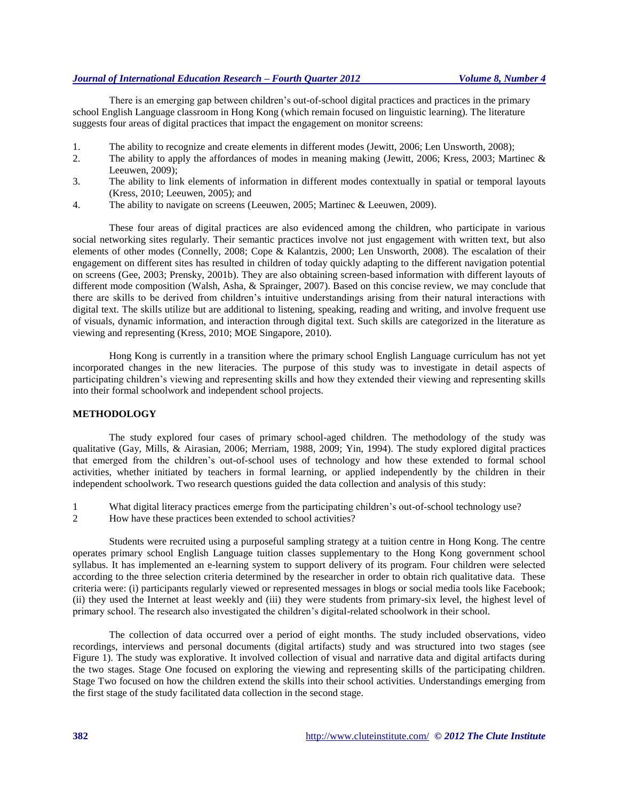### *Journal of International Education Research – Fourth Quarter 2012 Volume 8, Number 4*

There is an emerging gap between children's out-of-school digital practices and practices in the primary school English Language classroom in Hong Kong (which remain focused on linguistic learning). The literature suggests four areas of digital practices that impact the engagement on monitor screens:

- 1. The ability to recognize and create elements in different modes [\(Jewitt, 2006;](#page-10-6) [Len Unsworth, 2008\)](#page-11-2);
- 2. The ability to apply the affordances of modes in meaning making [\(Jewitt, 2006;](#page-10-6) [Kress, 2003;](#page-10-7) [Martinec &](#page-10-8)  [Leeuwen, 2009\)](#page-10-8);
- 3. The ability to link elements of information in different modes contextually in spatial or temporal layouts [\(Kress, 2010;](#page-10-0) [Leeuwen, 2005\)](#page-10-10); and
- 4. The ability to navigate on screens [\(Leeuwen, 2005;](#page-10-10) [Martinec & Leeuwen, 2009\)](#page-10-8).

These four areas of digital practices are also evidenced among the children, who participate in various social networking sites regularly. Their semantic practices involve not just engagement with written text, but also elements of other modes [\(Connelly, 2008;](#page-10-11) [Cope & Kalantzis, 2000;](#page-10-12) [Len Unsworth, 2008\)](#page-11-2). The escalation of their engagement on different sites has resulted in children of today quickly adapting to the different navigation potential on screens [\(Gee, 2003;](#page-10-13) [Prensky, 2001b\)](#page-11-4). They are also obtaining screen-based information with different layouts of different mode composition [\(Walsh, Asha, & Sprainger, 2007\)](#page-11-5). Based on this concise review, we may conclude that there are skills to be derived from children's intuitive understandings arising from their natural interactions with digital text. The skills utilize but are additional to listening, speaking, reading and writing, and involve frequent use of visuals, dynamic information, and interaction through digital text. Such skills are categorized in the literature as viewing and representing [\(Kress, 2010;](#page-10-0) [MOE Singapore, 2010\)](#page-11-0).

Hong Kong is currently in a transition where the primary school English Language curriculum has not yet incorporated changes in the new literacies. The purpose of this study was to investigate in detail aspects of participating children's viewing and representing skills and how they extended their viewing and representing skills into their formal schoolwork and independent school projects.

#### **METHODOLOGY**

The study explored four cases of primary school-aged children. The methodology of the study was qualitative [\(Gay, Mills, & Airasian, 2006;](#page-10-14) [Merriam, 1988,](#page-10-15) [2009;](#page-10-16) [Yin, 1994\)](#page-11-6). The study explored digital practices that emerged from the children's out-of-school uses of technology and how these extended to formal school activities, whether initiated by teachers in formal learning, or applied independently by the children in their independent schoolwork. Two research questions guided the data collection and analysis of this study:

- 1 What digital literacy practices emerge from the participating children's out-of-school technology use?
- 2 How have these practices been extended to school activities?

Students were recruited using a purposeful sampling strategy at a tuition centre in Hong Kong. The centre operates primary school English Language tuition classes supplementary to the Hong Kong government school syllabus. It has implemented an e-learning system to support delivery of its program. Four children were selected according to the three selection criteria determined by the researcher in order to obtain rich qualitative data. These criteria were: (i) participants regularly viewed or represented messages in blogs or social media tools like Facebook; (ii) they used the Internet at least weekly and (iii) they were students from primary-six level, the highest level of primary school. The research also investigated the children's digital-related schoolwork in their school.

The collection of data occurred over a period of eight months. The study included observations, video recordings, interviews and personal documents (digital artifacts) study and was structured into two stages (see Figure 1). The study was explorative. It involved collection of visual and narrative data and digital artifacts during the two stages. Stage One focused on exploring the viewing and representing skills of the participating children. Stage Two focused on how the children extend the skills into their school activities. Understandings emerging from the first stage of the study facilitated data collection in the second stage.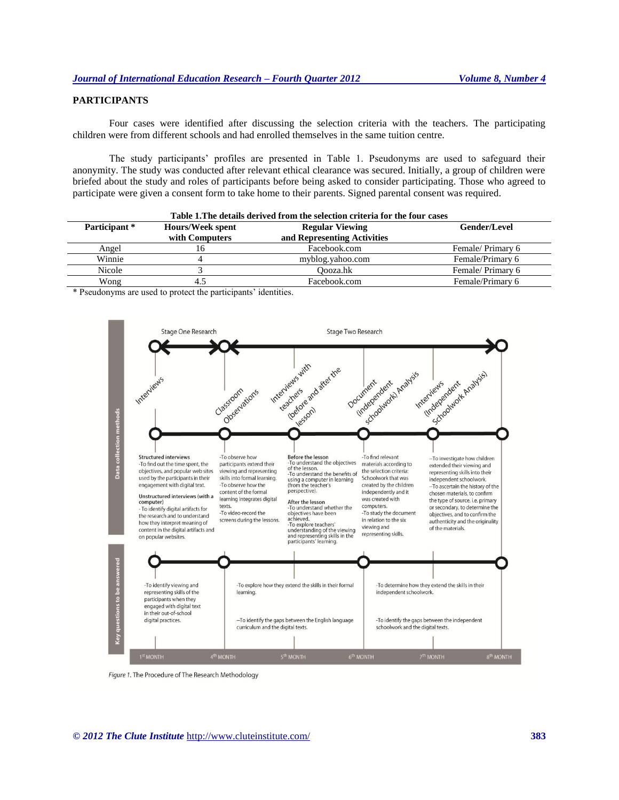# **PARTICIPANTS**

Four cases were identified after discussing the selection criteria with the teachers. The participating children were from different schools and had enrolled themselves in the same tuition centre.

The study participants' profiles are presented in Table 1. Pseudonyms are used to safeguard their anonymity. The study was conducted after relevant ethical clearance was secured. Initially, a group of children were briefed about the study and roles of participants before being asked to consider participating. Those who agreed to participate were given a consent form to take home to their parents. Signed parental consent was required.

| Table 1. The details derived from the selection criteria for the four cases |                  |                             |                  |  |
|-----------------------------------------------------------------------------|------------------|-----------------------------|------------------|--|
| Participant *                                                               | Hours/Week spent | <b>Regular Viewing</b>      | Gender/Level     |  |
|                                                                             | with Computers   | and Representing Activities |                  |  |
| Angel                                                                       | 16               | Facebook.com                | Female/Primary 6 |  |
| Winnie                                                                      |                  | myblog.yahoo.com            | Female/Primary 6 |  |
| Nicole                                                                      |                  | Oooza.hk                    | Female/Primary 6 |  |
| Wong                                                                        | 4.5              | Facebook.com                | Female/Primary 6 |  |

\* Pseudonyms are used to protect the participants' identities.



Figure 1. The Procedure of The Research Methodology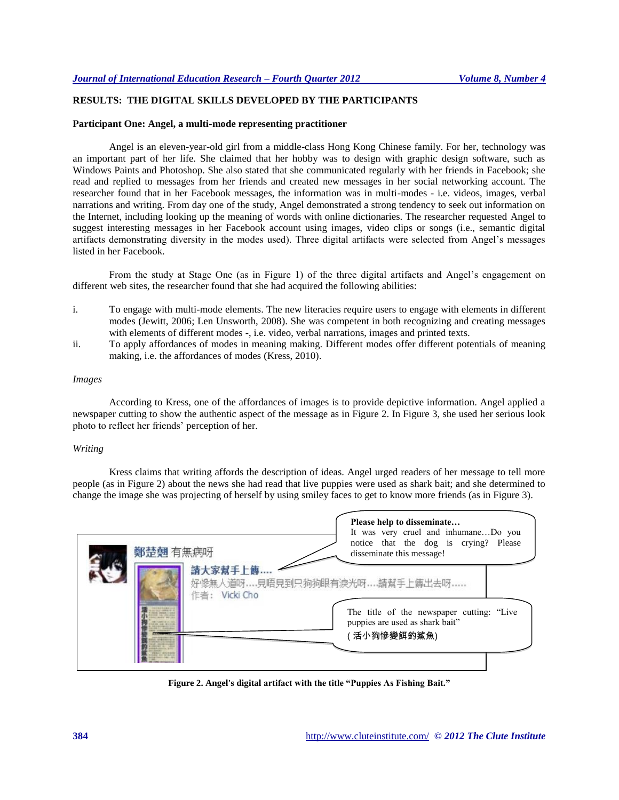## **RESULTS: THE DIGITAL SKILLS DEVELOPED BY THE PARTICIPANTS**

#### **Participant One: Angel, a multi-mode representing practitioner**

Angel is an eleven-year-old girl from a middle-class Hong Kong Chinese family. For her, technology was an important part of her life. She claimed that her hobby was to design with graphic design software, such as Windows Paints and Photoshop. She also stated that she communicated regularly with her friends in Facebook; she read and replied to messages from her friends and created new messages in her social networking account. The researcher found that in her Facebook messages, the information was in multi-modes - i.e. videos, images, verbal narrations and writing. From day one of the study, Angel demonstrated a strong tendency to seek out information on the Internet, including looking up the meaning of words with online dictionaries. The researcher requested Angel to suggest interesting messages in her Facebook account using images, video clips or songs (i.e., semantic digital artifacts demonstrating diversity in the modes used). Three digital artifacts were selected from Angel's messages listed in her Facebook.

From the study at Stage One (as in Figure 1) of the three digital artifacts and Angel's engagement on different web sites, the researcher found that she had acquired the following abilities:

- i. To engage with multi-mode elements. The new literacies require users to engage with elements in different modes [\(Jewitt, 2006;](#page-10-6) [Len Unsworth, 2008\)](#page-11-2). She was competent in both recognizing and creating messages with elements of different modes -, i.e. video, verbal narrations, images and printed texts.
- ii. To apply affordances of modes in meaning making. Different modes offer different potentials of meaning making, i.e. the affordances of modes [\(Kress, 2010\)](#page-10-0).

#### *Images*

According to Kress, one of the affordances of images is to provide depictive information. Angel applied a newspaper cutting to show the authentic aspect of the message as in Figure 2. In Figure 3, she used her serious look photo to reflect her friends' perception of her.

#### *Writing*

Kress claims that writing affords the description of ideas. Angel urged readers of her message to tell more people (as in Figure 2) about the news she had read that live puppies were used as shark bait; and she determined to change the image she was projecting of herself by using smiley faces to get to know more friends (as in Figure 3).

| 鄭楚翹 有無病呀 | Please help to disseminate<br>It was very cruel and inhumaneDo you<br>notice that the dog is crying? Please<br>disseminate this message! |
|----------|------------------------------------------------------------------------------------------------------------------------------------------|
|          | 請大家幫手上傳.<br>好慘無人道呀見晤見到只狗狗眼有淚光呀請幫手上傳出去呀<br>作者: Vicki Cho                                                                                  |
|          | The title of the newspaper cutting: "Live<br>puppies are used as shark bait"<br>(活小狗慘變餌釣鯊魚)                                              |

**Figure 2. Angel's digital artifact with the title "Puppies As Fishing Bait."**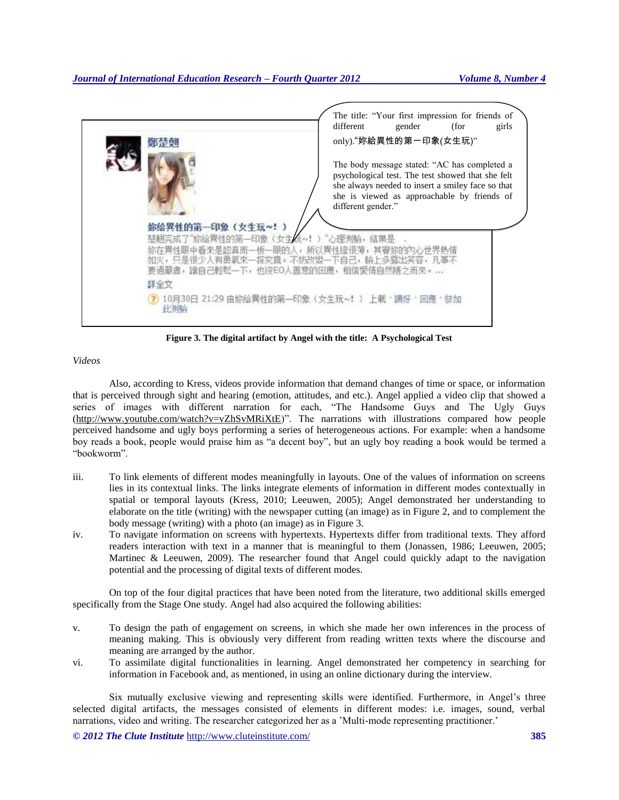

**Figure 3. The digital artifact by Angel with the title: A Psychological Test**

*Videos*

Also, according to Kress, videos provide information that demand changes of time or space, or information that is perceived through sight and hearing (emotion, attitudes, and etc.). Angel applied a video clip that showed a series of images with different narration for each, "The Handsome Guys and The Ugly Guys [\(http://www.youtube.com/watch?v=vZhSvMRiXtE\)](http://www.youtube.com/watch?v=vZhSvMRiXtE)". The narrations with illustrations compared how people perceived handsome and ugly boys performing a series of heterogeneous actions. For example: when a handsome boy reads a book, people would praise him as "a decent boy", but an ugly boy reading a book would be termed a "bookworm".

- iii. To link elements of different modes meaningfully in layouts. One of the values of information on screens lies in its contextual links. The links integrate elements of information in different modes contextually in spatial or temporal layouts [\(Kress, 2010;](#page-10-0) [Leeuwen, 2005\)](#page-10-10); Angel demonstrated her understanding to elaborate on the title (writing) with the newspaper cutting (an image) as in Figure 2, and to complement the body message (writing) with a photo (an image) as in Figure 3.
- iv. To navigate information on screens with hypertexts. Hypertexts differ from traditional texts. They afford readers interaction with text in a manner that is meaningful to them [\(Jonassen, 1986;](#page-10-17) [Leeuwen, 2005;](#page-10-10) [Martinec & Leeuwen, 2009\)](#page-10-8). The researcher found that Angel could quickly adapt to the navigation potential and the processing of digital texts of different modes.

On top of the four digital practices that have been noted from the literature, two additional skills emerged specifically from the Stage One study. Angel had also acquired the following abilities:

- v. To design the path of engagement on screens, in which she made her own inferences in the process of meaning making. This is obviously very different from reading written texts where the discourse and meaning are arranged by the author.
- vi. To assimilate digital functionalities in learning. Angel demonstrated her competency in searching for information in Facebook and, as mentioned, in using an online dictionary during the interview.

Six mutually exclusive viewing and representing skills were identified. Furthermore, in Angel's three selected digital artifacts, the messages consisted of elements in different modes: i.e. images, sound, verbal narrations, video and writing. The researcher categorized her as a 'Multi-mode representing practitioner.'

*© 2012 The Clute Institute* http://www.cluteinstitute.com/ **385**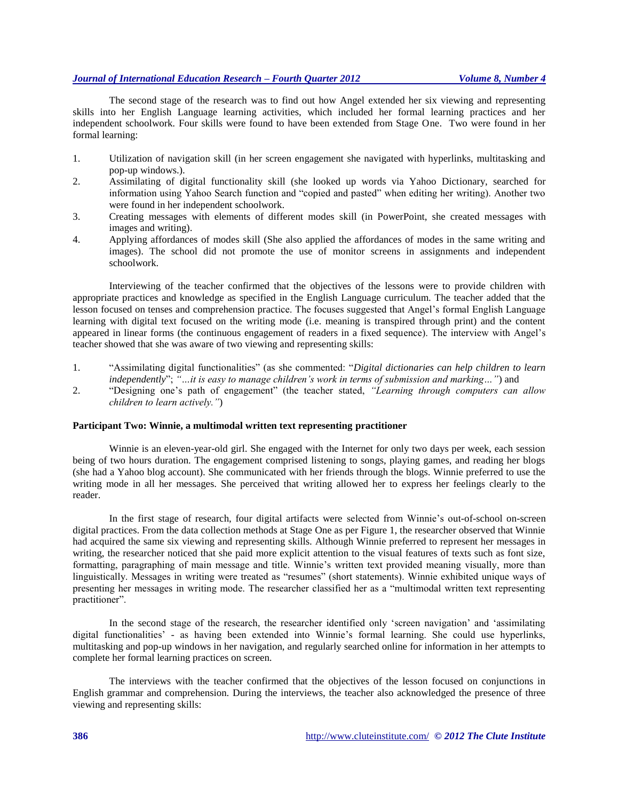# *Journal of International Education Research – Fourth Quarter 2012 Volume 8, Number 4*

The second stage of the research was to find out how Angel extended her six viewing and representing skills into her English Language learning activities, which included her formal learning practices and her independent schoolwork. Four skills were found to have been extended from Stage One. Two were found in her formal learning:

- 1. Utilization of navigation skill (in her screen engagement she navigated with hyperlinks, multitasking and pop-up windows.).
- 2. Assimilating of digital functionality skill (she looked up words via Yahoo Dictionary, searched for information using Yahoo Search function and "copied and pasted" when editing her writing). Another two were found in her independent schoolwork.
- 3. Creating messages with elements of different modes skill (in PowerPoint, she created messages with images and writing).
- 4. Applying affordances of modes skill (She also applied the affordances of modes in the same writing and images). The school did not promote the use of monitor screens in assignments and independent schoolwork.

Interviewing of the teacher confirmed that the objectives of the lessons were to provide children with appropriate practices and knowledge as specified in the English Language curriculum. The teacher added that the lesson focused on tenses and comprehension practice. The focuses suggested that Angel's formal English Language learning with digital text focused on the writing mode (i.e. meaning is transpired through print) and the content appeared in linear forms (the continuous engagement of readers in a fixed sequence). The interview with Angel's teacher showed that she was aware of two viewing and representing skills:

- 1. "Assimilating digital functionalities" (as she commented: "*Digital dictionaries can help children to learn independently*"; *"…it is easy to manage children's work in terms of submission and marking…"*) and
- 2. "Designing one's path of engagement" (the teacher stated, *"Learning through computers can allow children to learn actively."*)

#### **Participant Two: Winnie, a multimodal written text representing practitioner**

Winnie is an eleven-year-old girl. She engaged with the Internet for only two days per week, each session being of two hours duration. The engagement comprised listening to songs, playing games, and reading her blogs (she had a Yahoo blog account). She communicated with her friends through the blogs. Winnie preferred to use the writing mode in all her messages. She perceived that writing allowed her to express her feelings clearly to the reader.

In the first stage of research, four digital artifacts were selected from Winnie's out-of-school on-screen digital practices. From the data collection methods at Stage One as per Figure 1, the researcher observed that Winnie had acquired the same six viewing and representing skills. Although Winnie preferred to represent her messages in writing, the researcher noticed that she paid more explicit attention to the visual features of texts such as font size, formatting, paragraphing of main message and title. Winnie's written text provided meaning visually, more than linguistically. Messages in writing were treated as "resumes" (short statements). Winnie exhibited unique ways of presenting her messages in writing mode. The researcher classified her as a "multimodal written text representing practitioner".

In the second stage of the research, the researcher identified only 'screen navigation' and 'assimilating digital functionalities' - as having been extended into Winnie's formal learning. She could use hyperlinks, multitasking and pop-up windows in her navigation, and regularly searched online for information in her attempts to complete her formal learning practices on screen.

The interviews with the teacher confirmed that the objectives of the lesson focused on conjunctions in English grammar and comprehension. During the interviews, the teacher also acknowledged the presence of three viewing and representing skills: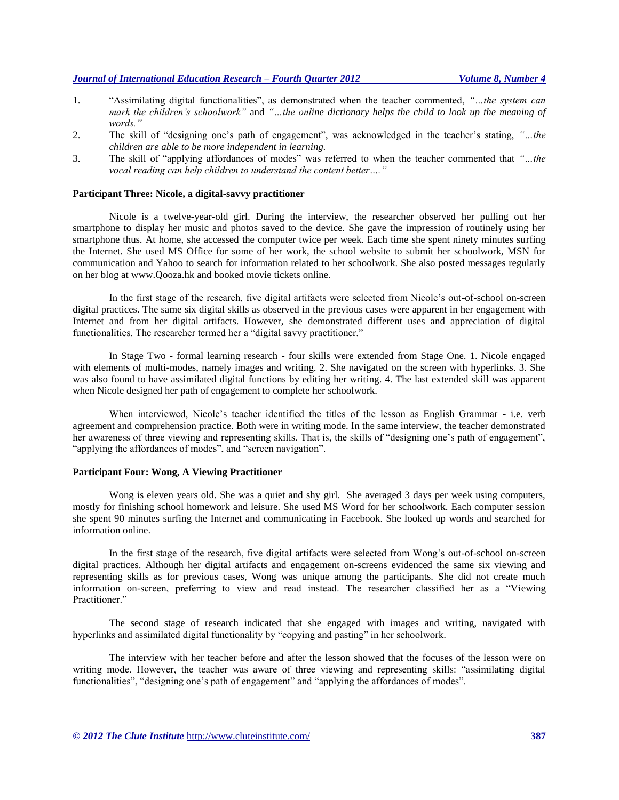# *Journal of International Education Research – Fourth Quarter 2012 Volume 8, Number 4*

- 1. "Assimilating digital functionalities", as demonstrated when the teacher commented, *"…the system can mark the children's schoolwork"* and *"…the online dictionary helps the child to look up the meaning of words."*
- 2. The skill of "designing one's path of engagement", was acknowledged in the teacher's stating, *"…the children are able to be more independent in learning.*
- 3. The skill of "applying affordances of modes" was referred to when the teacher commented that *"…the vocal reading can help children to understand the content better…."*

#### **Participant Three: Nicole, a digital-savvy practitioner**

Nicole is a twelve-year-old girl. During the interview, the researcher observed her pulling out her smartphone to display her music and photos saved to the device. She gave the impression of routinely using her smartphone thus. At home, she accessed the computer twice per week. Each time she spent ninety minutes surfing the Internet. She used MS Office for some of her work, the school website to submit her schoolwork, MSN for communication and Yahoo to search for information related to her schoolwork. She also posted messages regularly on her blog at [www.Qooza.hk](http://www.qooza.hk/) and booked movie tickets online.

In the first stage of the research, five digital artifacts were selected from Nicole's out-of-school on-screen digital practices. The same six digital skills as observed in the previous cases were apparent in her engagement with Internet and from her digital artifacts. However, she demonstrated different uses and appreciation of digital functionalities. The researcher termed her a "digital savvy practitioner."

In Stage Two - formal learning research - four skills were extended from Stage One. 1. Nicole engaged with elements of multi-modes, namely images and writing. 2. She navigated on the screen with hyperlinks. 3. She was also found to have assimilated digital functions by editing her writing. 4. The last extended skill was apparent when Nicole designed her path of engagement to complete her schoolwork.

When interviewed, Nicole's teacher identified the titles of the lesson as English Grammar - i.e. verb agreement and comprehension practice. Both were in writing mode. In the same interview, the teacher demonstrated her awareness of three viewing and representing skills. That is, the skills of "designing one's path of engagement", "applying the affordances of modes", and "screen navigation".

#### **Participant Four: Wong, A Viewing Practitioner**

Wong is eleven years old. She was a quiet and shy girl. She averaged 3 days per week using computers, mostly for finishing school homework and leisure. She used MS Word for her schoolwork. Each computer session she spent 90 minutes surfing the Internet and communicating in Facebook. She looked up words and searched for information online.

In the first stage of the research, five digital artifacts were selected from Wong's out-of-school on-screen digital practices. Although her digital artifacts and engagement on-screens evidenced the same six viewing and representing skills as for previous cases, Wong was unique among the participants. She did not create much information on-screen, preferring to view and read instead. The researcher classified her as a "Viewing Practitioner."

The second stage of research indicated that she engaged with images and writing, navigated with hyperlinks and assimilated digital functionality by "copying and pasting" in her schoolwork.

The interview with her teacher before and after the lesson showed that the focuses of the lesson were on writing mode. However, the teacher was aware of three viewing and representing skills: "assimilating digital functionalities", "designing one's path of engagement" and "applying the affordances of modes".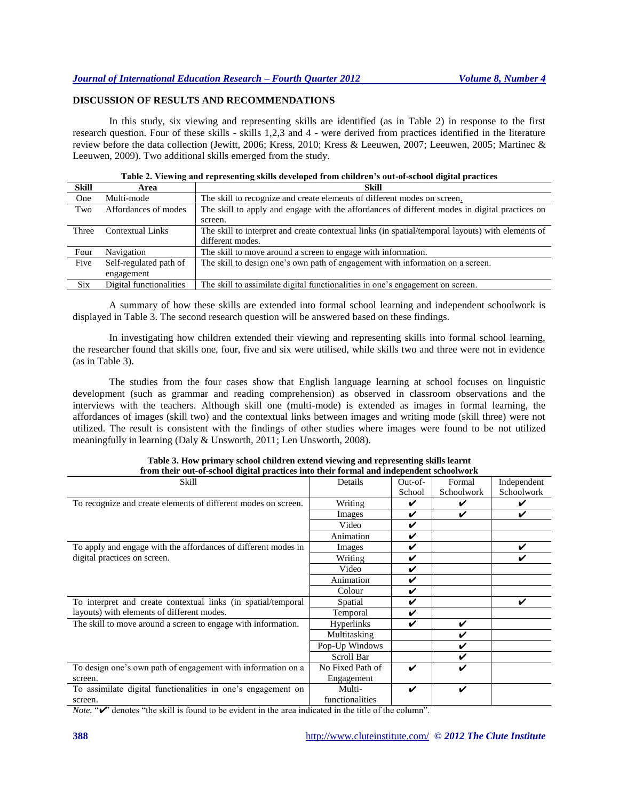## **DISCUSSION OF RESULTS AND RECOMMENDATIONS**

In this study, six viewing and representing skills are identified (as in Table 2) in response to the first research question. Four of these skills - skills 1,2,3 and 4 - were derived from practices identified in the literature review before the data collection [\(Jewitt, 2006;](#page-10-6) [Kress, 2010;](#page-10-0) [Kress & Leeuwen, 2007;](#page-10-18) [Leeuwen, 2005;](#page-10-10) [Martinec &](#page-10-8)  [Leeuwen, 2009\)](#page-10-8). Two additional skills emerged from the study.

| Table 2. Viewing and representing skills developed from children's out-of-school digital practices |  |  |
|----------------------------------------------------------------------------------------------------|--|--|
|                                                                                                    |  |  |

| Skill      | Area                    | <b>Skill</b>                                                                                      |
|------------|-------------------------|---------------------------------------------------------------------------------------------------|
| One        | Multi-mode              | The skill to recognize and create elements of different modes on screen.                          |
| Two        | Affordances of modes    | The skill to apply and engage with the affordances of different modes in digital practices on     |
|            |                         | screen.                                                                                           |
| Three      | Contextual Links        | The skill to interpret and create contextual links (in spatial/temporal layouts) with elements of |
|            |                         | different modes.                                                                                  |
| Four       | Navigation              | The skill to move around a screen to engage with information.                                     |
| Five       | Self-regulated path of  | The skill to design one's own path of engagement with information on a screen.                    |
|            | engagement              |                                                                                                   |
| <b>Six</b> | Digital functionalities | The skill to assimilate digital functionalities in one's engagement on screen.                    |

A summary of how these skills are extended into formal school learning and independent schoolwork is displayed in Table 3. The second research question will be answered based on these findings.

In investigating how children extended their viewing and representing skills into formal school learning, the researcher found that skills one, four, five and six were utilised, while skills two and three were not in evidence (as in Table 3).

The studies from the four cases show that English language learning at school focuses on linguistic development (such as grammar and reading comprehension) as observed in classroom observations and the interviews with the teachers. Although skill one (multi-mode) is extended as images in formal learning, the affordances of images (skill two) and the contextual links between images and writing mode (skill three) were not utilized. The result is consistent with the findings of other studies where images were found to be not utilized meaningfully in learning [\(Daly & Unsworth, 2011;](#page-10-19) [Len Unsworth, 2008\)](#page-11-2).

| II'0111 then_0ut-01-school uighal practices lino their formal and independent schoolwork |                   |         |            |             |
|------------------------------------------------------------------------------------------|-------------------|---------|------------|-------------|
| Skill                                                                                    | Details           | Out-of- | Formal     | Independent |
|                                                                                          |                   | School  | Schoolwork | Schoolwork  |
| To recognize and create elements of different modes on screen.                           | Writing           |         |            |             |
|                                                                                          | Images            | V       | ✔          | V           |
|                                                                                          | Video             | ✓       |            |             |
|                                                                                          | Animation         | V       |            |             |
| To apply and engage with the affordances of different modes in                           | Images            | ✓       |            | V           |
| digital practices on screen.                                                             | Writing           | V       |            | V           |
|                                                                                          | Video             | V       |            |             |
|                                                                                          | Animation         | V       |            |             |
|                                                                                          | Colour            | V       |            |             |
| To interpret and create contextual links (in spatial/temporal                            | Spatial           | V       |            | V           |
| layouts) with elements of different modes.                                               | Temporal          | ✓       |            |             |
| The skill to move around a screen to engage with information.                            | <b>Hyperlinks</b> | V       | ✓          |             |
|                                                                                          | Multitasking      |         | ✓          |             |
|                                                                                          | Pop-Up Windows    |         | ✔          |             |
|                                                                                          | Scroll Bar        |         | ✓          |             |
| To design one's own path of engagement with information on a                             | No Fixed Path of  | V       | ✓          |             |
| screen.                                                                                  | Engagement        |         |            |             |
| To assimilate digital functionalities in one's engagement on                             | Multi-            | V       | ✔          |             |
| screen.                                                                                  | functionalities   |         |            |             |

**Table 3. How primary school children extend viewing and representing skills learnt from their out-of-school digital practices into their formal and independent schoolwork**

*Note.* " $\checkmark$ " denotes "the skill is found to be evident in the area indicated in the title of the column".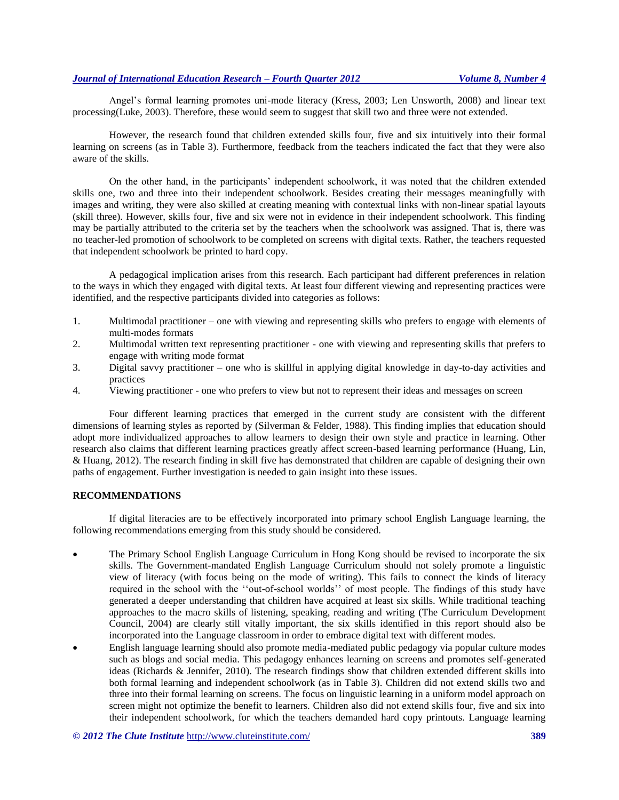Angel's formal learning promotes uni-mode literacy [\(Kress, 2003;](#page-10-7) [Len Unsworth, 2008\)](#page-11-2) and linear text processing[\(Luke, 2003\)](#page-10-20). Therefore, these would seem to suggest that skill two and three were not extended.

However, the research found that children extended skills four, five and six intuitively into their formal learning on screens (as in Table 3). Furthermore, feedback from the teachers indicated the fact that they were also aware of the skills.

On the other hand, in the participants' independent schoolwork, it was noted that the children extended skills one, two and three into their independent schoolwork. Besides creating their messages meaningfully with images and writing, they were also skilled at creating meaning with contextual links with non-linear spatial layouts (skill three). However, skills four, five and six were not in evidence in their independent schoolwork. This finding may be partially attributed to the criteria set by the teachers when the schoolwork was assigned. That is, there was no teacher-led promotion of schoolwork to be completed on screens with digital texts. Rather, the teachers requested that independent schoolwork be printed to hard copy.

A pedagogical implication arises from this research. Each participant had different preferences in relation to the ways in which they engaged with digital texts. At least four different viewing and representing practices were identified, and the respective participants divided into categories as follows:

- 1. Multimodal practitioner one with viewing and representing skills who prefers to engage with elements of multi-modes formats
- 2. Multimodal written text representing practitioner one with viewing and representing skills that prefers to engage with writing mode format
- 3. Digital savvy practitioner one who is skillful in applying digital knowledge in day-to-day activities and practices
- 4. Viewing practitioner one who prefers to view but not to represent their ideas and messages on screen

Four different learning practices that emerged in the current study are consistent with the different dimensions of learning styles as reported by [\(Silverman & Felder, 1988\)](#page-11-7). This finding implies that education should adopt more individualized approaches to allow learners to design their own style and practice in learning. Other research also claims that different learning practices greatly affect screen-based learning performance [\(Huang, Lin,](#page-10-21)  [& Huang, 2012\)](#page-10-21). The research finding in skill five has demonstrated that children are capable of designing their own paths of engagement. Further investigation is needed to gain insight into these issues.

#### **RECOMMENDATIONS**

If digital literacies are to be effectively incorporated into primary school English Language learning, the following recommendations emerging from this study should be considered.

- The Primary School English Language Curriculum in Hong Kong should be revised to incorporate the six skills. The Government-mandated English Language Curriculum should not solely promote a linguistic view of literacy (with focus being on the mode of writing). This fails to connect the kinds of literacy required in the school with the ''out-of-school worlds'' of most people. The findings of this study have generated a deeper understanding that children have acquired at least six skills. While traditional teaching approaches to the macro skills of listening, speaking, reading and writing [\(The Curriculum Development](#page-11-8)  [Council, 2004\)](#page-11-8) are clearly still vitally important, the six skills identified in this report should also be incorporated into the Language classroom in order to embrace digital text with different modes.
- English language learning should also promote media-mediated public pedagogy via popular culture modes such as blogs and social media. This pedagogy enhances learning on screens and promotes self-generated ideas [\(Richards & Jennifer, 2010\)](#page-11-9). The research findings show that children extended different skills into both formal learning and independent schoolwork (as in Table 3). Children did not extend skills two and three into their formal learning on screens. The focus on linguistic learning in a uniform model approach on screen might not optimize the benefit to learners. Children also did not extend skills four, five and six into their independent schoolwork, for which the teachers demanded hard copy printouts. Language learning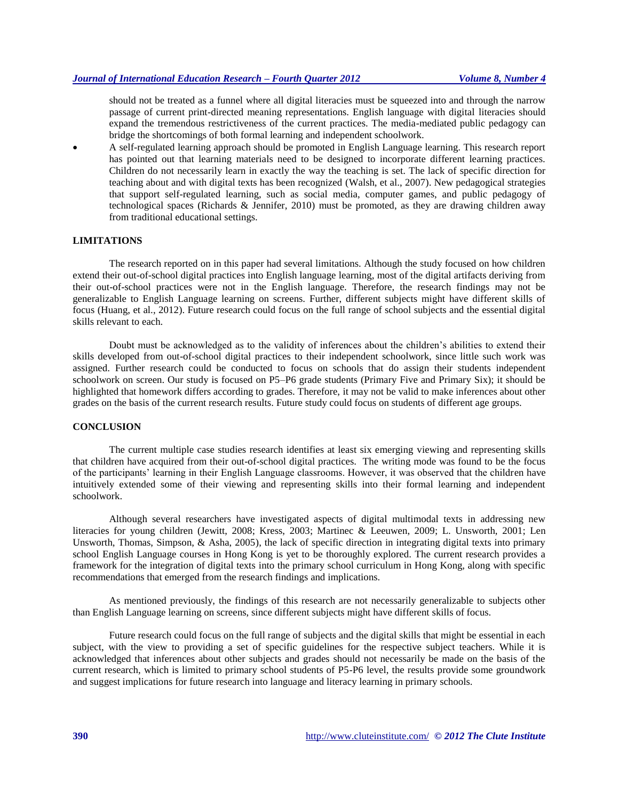should not be treated as a funnel where all digital literacies must be squeezed into and through the narrow passage of current print-directed meaning representations. English language with digital literacies should expand the tremendous restrictiveness of the current practices. The media-mediated public pedagogy can bridge the shortcomings of both formal learning and independent schoolwork.

 A self-regulated learning approach should be promoted in English Language learning. This research report has pointed out that learning materials need to be designed to incorporate different learning practices. Children do not necessarily learn in exactly the way the teaching is set. The lack of specific direction for teaching about and with digital texts has been recognized [\(Walsh, et al., 2007\)](#page-11-5). New pedagogical strategies that support self-regulated learning, such as social media, computer games, and public pedagogy of technological spaces [\(Richards & Jennifer, 2010\)](#page-11-9) must be promoted, as they are drawing children away from traditional educational settings.

#### **LIMITATIONS**

The research reported on in this paper had several limitations. Although the study focused on how children extend their out-of-school digital practices into English language learning, most of the digital artifacts deriving from their out-of-school practices were not in the English language. Therefore, the research findings may not be generalizable to English Language learning on screens. Further, different subjects might have different skills of focus [\(Huang, et al., 2012\)](#page-10-21). Future research could focus on the full range of school subjects and the essential digital skills relevant to each.

Doubt must be acknowledged as to the validity of inferences about the children's abilities to extend their skills developed from out-of-school digital practices to their independent schoolwork, since little such work was assigned. Further research could be conducted to focus on schools that do assign their students independent schoolwork on screen. Our study is focused on P5–P6 grade students (Primary Five and Primary Six); it should be highlighted that homework differs according to grades. Therefore, it may not be valid to make inferences about other grades on the basis of the current research results. Future study could focus on students of different age groups.

#### **CONCLUSION**

The current multiple case studies research identifies at least six emerging viewing and representing skills that children have acquired from their out-of-school digital practices. The writing mode was found to be the focus of the participants' learning in their English Language classrooms. However, it was observed that the children have intuitively extended some of their viewing and representing skills into their formal learning and independent schoolwork.

Although several researchers have investigated aspects of digital multimodal texts in addressing new literacies for young children [\(Jewitt, 2008;](#page-10-22) [Kress, 2003;](#page-10-7) [Martinec & Leeuwen, 2009;](#page-10-8) [L. Unsworth, 2001;](#page-11-10) [Len](#page-11-11)  [Unsworth, Thomas, Simpson, & Asha, 2005\)](#page-11-11), the lack of specific direction in integrating digital texts into primary school English Language courses in Hong Kong is yet to be thoroughly explored. The current research provides a framework for the integration of digital texts into the primary school curriculum in Hong Kong, along with specific recommendations that emerged from the research findings and implications.

As mentioned previously, the findings of this research are not necessarily generalizable to subjects other than English Language learning on screens, since different subjects might have different skills of focus.

Future research could focus on the full range of subjects and the digital skills that might be essential in each subject, with the view to providing a set of specific guidelines for the respective subject teachers. While it is acknowledged that inferences about other subjects and grades should not necessarily be made on the basis of the current research, which is limited to primary school students of P5-P6 level, the results provide some groundwork and suggest implications for future research into language and literacy learning in primary schools.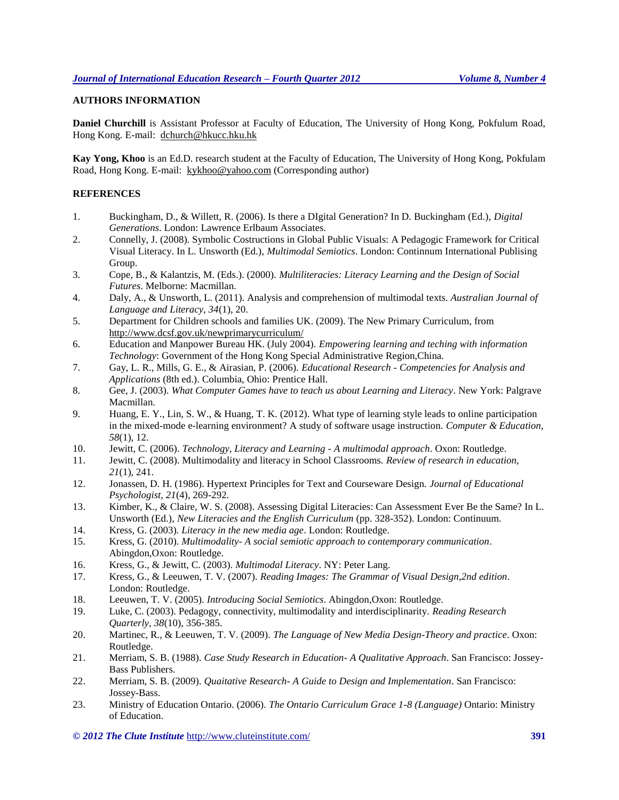## **AUTHORS INFORMATION**

**Daniel Churchill** is Assistant Professor at Faculty of Education, The University of Hong Kong, Pokfulum Road, Hong Kong. E-mail: [dchurch@hkucc.hku.hk](mailto:dchurch@hkucc.hku.hk)

**Kay Yong, Khoo** is an Ed.D. research student at the Faculty of Education, The University of Hong Kong, Pokfulam Road, Hong Kong. E-mail: [kykhoo@yahoo.com](mailto:kykhoo@yahoo.com) (Corresponding author)

#### **REFERENCES**

- <span id="page-10-4"></span>1. Buckingham, D., & Willett, R. (2006). Is there a DIgital Generation? In D. Buckingham (Ed.), *Digital Generations*. London: Lawrence Erlbaum Associates.
- <span id="page-10-11"></span>2. Connelly, J. (2008). Symbolic Costructions in Global Public Visuals: A Pedagogic Framework for Critical Visual Literacy. In L. Unsworth (Ed.), *Multimodal Semiotics*. London: Continnum International Publising Group.
- <span id="page-10-12"></span>3. Cope, B., & Kalantzis, M. (Eds.). (2000). *Multiliteracies: Literacy Learning and the Design of Social Futures*. Melborne: Macmillan.
- <span id="page-10-19"></span>4. Daly, A., & Unsworth, L. (2011). Analysis and comprehension of multimodal texts. *Australian Journal of Language and Literacy, 34*(1), 20.
- <span id="page-10-1"></span>5. Department for Children schools and families UK. (2009). The New Primary Curriculum, from <http://www.dcsf.gov.uk/newprimarycurriculum/>
- <span id="page-10-9"></span>6. Education and Manpower Bureau HK. (July 2004). *Empowering learning and teching with information Technology*: Government of the Hong Kong Special Administrative Region,China.
- <span id="page-10-14"></span>7. Gay, L. R., Mills, G. E., & Airasian, P. (2006). *Educational Research - Competencies for Analysis and Applications* (8th ed.). Columbia, Ohio: Prentice Hall.
- <span id="page-10-13"></span>8. Gee, J. (2003). *What Computer Games have to teach us about Learning and Literacy*. New York: Palgrave Macmillan.
- <span id="page-10-21"></span>9. Huang, E. Y., Lin, S. W., & Huang, T. K. (2012). What type of learning style leads to online participation in the mixed-mode e-learning environment? A study of software usage instruction. *Computer & Education, 58*(1), 12.
- <span id="page-10-6"></span>10. Jewitt, C. (2006). *Technology, Literacy and Learning - A multimodal approach*. Oxon: Routledge.
- <span id="page-10-22"></span>11. Jewitt, C. (2008). Multimodality and literacy in School Classrooms. *Review of research in education, 21*(1), 241.
- <span id="page-10-17"></span>12. Jonassen, D. H. (1986). Hypertext Principles for Text and Courseware Design. *Journal of Educational Psychologist, 21*(4), 269-292.
- <span id="page-10-5"></span>13. Kimber, K., & Claire, W. S. (2008). Assessing Digital Literacies: Can Assessment Ever Be the Same? In L. Unsworth (Ed.), *New Literacies and the English Curriculum* (pp. 328-352). London: Continuum.
- <span id="page-10-7"></span>14. Kress, G. (2003). *Literacy in the new media age*. London: Routledge.
- <span id="page-10-0"></span>15. Kress, G. (2010). *Multimodality- A social semiotic approach to contemporary communication*. Abingdon,Oxon: Routledge.
- <span id="page-10-3"></span>16. Kress, G., & Jewitt, C. (2003). *Multimodal Literacy*. NY: Peter Lang.
- <span id="page-10-18"></span>17. Kress, G., & Leeuwen, T. V. (2007). *Reading Images: The Grammar of Visual Design,2nd edition*. London: Routledge.
- <span id="page-10-10"></span>18. Leeuwen, T. V. (2005). *Introducing Social Semiotics*. Abingdon,Oxon: Routledge.
- <span id="page-10-20"></span>19. Luke, C. (2003). Pedagogy, connectivity, multimodality and interdisciplinarity. *Reading Research Quarterly, 38*(10), 356-385.
- <span id="page-10-8"></span>20. Martinec, R., & Leeuwen, T. V. (2009). *The Language of New Media Design-Theory and practice*. Oxon: Routledge.
- <span id="page-10-15"></span>21. Merriam, S. B. (1988). *Case Study Research in Education- A Qualitative Approach*. San Francisco: Jossey-Bass Publishers.
- <span id="page-10-16"></span>22. Merriam, S. B. (2009). *Quaitative Research- A Guide to Design and Implementation*. San Francisco: Jossey-Bass.
- <span id="page-10-2"></span>23. Ministry of Education Ontario. (2006). *The Ontario Curriculum Grace 1-8 (Language)* Ontario: Ministry of Education.

*© 2012 The Clute Institute* http://www.cluteinstitute.com/ **391**